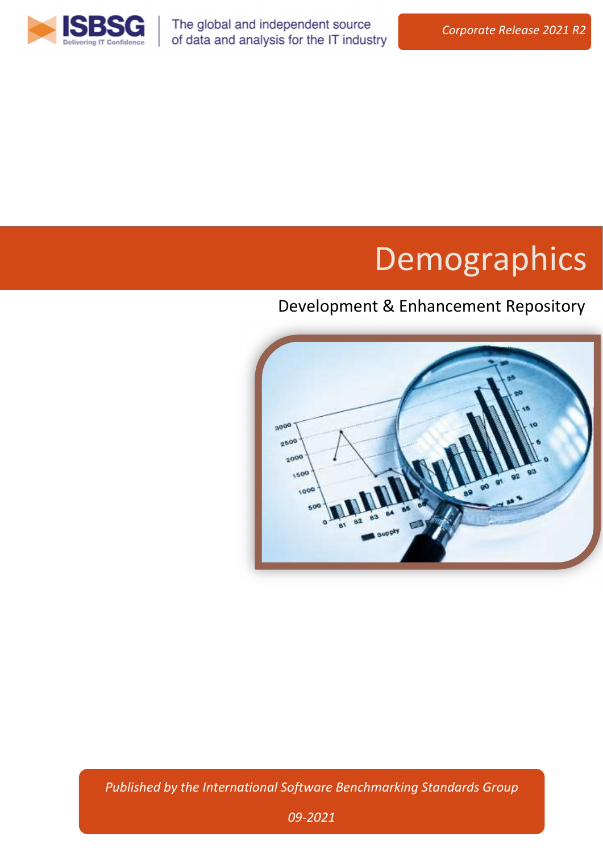

The global and independent source of data and analysis for the IT industry

# Demographics

# Development & Enhancement Repository



Published by the International Software Benchmarking Standards Group

09-2021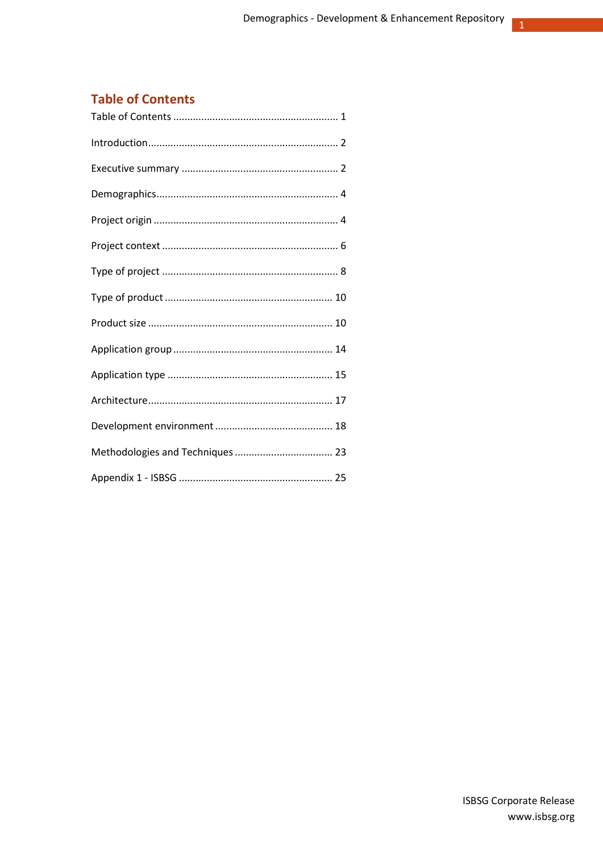$\mathbf 1$ 

## **Table of Contents**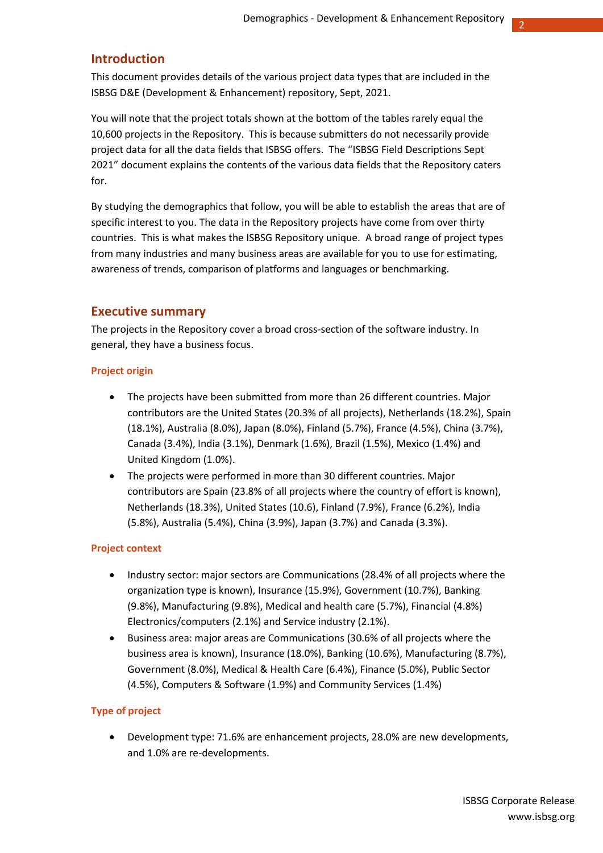## Introduction

This document provides details of the various project data types that are included in the ISBSG D&E (Development & Enhancement) repository, Sept, 2021.

You will note that the project totals shown at the bottom of the tables rarely equal the 10,600 projects in the Repository. This is because submitters do not necessarily provide project data for all the data fields that ISBSG offers. The "ISBSG Field Descriptions Sept 2021" document explains the contents of the various data fields that the Repository caters for.

By studying the demographics that follow, you will be able to establish the areas that are of specific interest to you. The data in the Repository projects have come from over thirty countries. This is what makes the ISBSG Repository unique. A broad range of project types from many industries and many business areas are available for you to use for estimating, awareness of trends, comparison of platforms and languages or benchmarking.

#### Executive summary

The projects in the Repository cover a broad cross-section of the software industry. In general, they have a business focus.

#### Project origin

- The projects have been submitted from more than 26 different countries. Major contributors are the United States (20.3% of all projects), Netherlands (18.2%), Spain (18.1%), Australia (8.0%), Japan (8.0%), Finland (5.7%), France (4.5%), China (3.7%), Canada (3.4%), India (3.1%), Denmark (1.6%), Brazil (1.5%), Mexico (1.4%) and United Kingdom (1.0%).
- The projects were performed in more than 30 different countries. Major contributors are Spain (23.8% of all projects where the country of effort is known), Netherlands (18.3%), United States (10.6), Finland (7.9%), France (6.2%), India (5.8%), Australia (5.4%), China (3.9%), Japan (3.7%) and Canada (3.3%).

#### Project context

- Industry sector: major sectors are Communications (28.4% of all projects where the organization type is known), Insurance (15.9%), Government (10.7%), Banking (9.8%), Manufacturing (9.8%), Medical and health care (5.7%), Financial (4.8%) Electronics/computers (2.1%) and Service industry (2.1%).
- Business area: major areas are Communications (30.6% of all projects where the business area is known), Insurance (18.0%), Banking (10.6%), Manufacturing (8.7%), Government (8.0%), Medical & Health Care (6.4%), Finance (5.0%), Public Sector (4.5%), Computers & Software (1.9%) and Community Services (1.4%)

#### Type of project

 Development type: 71.6% are enhancement projects, 28.0% are new developments, and 1.0% are re-developments.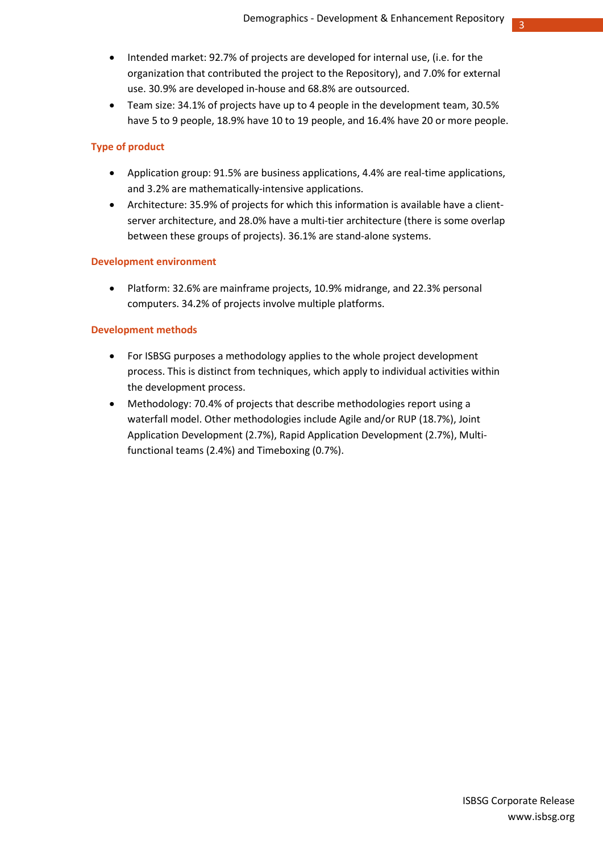3

- Intended market: 92.7% of projects are developed for internal use, (i.e. for the organization that contributed the project to the Repository), and 7.0% for external use. 30.9% are developed in-house and 68.8% are outsourced.
- Team size: 34.1% of projects have up to 4 people in the development team, 30.5% have 5 to 9 people, 18.9% have 10 to 19 people, and 16.4% have 20 or more people.

### Type of product

- Application group: 91.5% are business applications, 4.4% are real-time applications, and 3.2% are mathematically-intensive applications.
- Architecture: 35.9% of projects for which this information is available have a clientserver architecture, and 28.0% have a multi-tier architecture (there is some overlap between these groups of projects). 36.1% are stand-alone systems.

#### Development environment

 Platform: 32.6% are mainframe projects, 10.9% midrange, and 22.3% personal computers. 34.2% of projects involve multiple platforms.

## Development methods

- For ISBSG purposes a methodology applies to the whole project development process. This is distinct from techniques, which apply to individual activities within the development process.
- Methodology: 70.4% of projects that describe methodologies report using a waterfall model. Other methodologies include Agile and/or RUP (18.7%), Joint Application Development (2.7%), Rapid Application Development (2.7%), Multifunctional teams (2.4%) and Timeboxing (0.7%).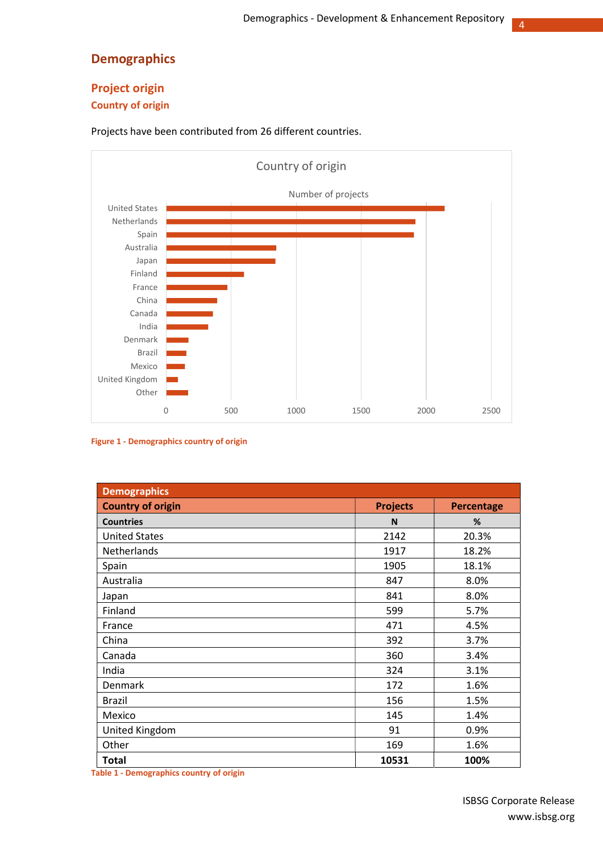## Demographics

## Project origin

## Country of origin

Projects have been contributed from 26 different countries.



#### Figure 1 - Demographics country of origin

| <b>Demographics</b>      |                 |                   |
|--------------------------|-----------------|-------------------|
| <b>Country of origin</b> | <b>Projects</b> | <b>Percentage</b> |
| <b>Countries</b>         | N               | %                 |
| <b>United States</b>     | 2142            | 20.3%             |
| Netherlands              | 1917            | 18.2%             |
| Spain                    | 1905            | 18.1%             |
| Australia                | 847             | 8.0%              |
| Japan                    | 841             | 8.0%              |
| Finland                  | 599             | 5.7%              |
| France                   | 471             | 4.5%              |
| China                    | 392             | 3.7%              |
| Canada                   | 360             | 3.4%              |
| India                    | 324             | 3.1%              |
| Denmark                  | 172             | 1.6%              |
| Brazil                   | 156             | 1.5%              |
| Mexico                   | 145             | 1.4%              |
| United Kingdom           | 91              | 0.9%              |
| Other                    | 169             | 1.6%              |
| <b>Total</b>             | 10531           | 100%              |

Table 1 - Demographics country of origin

4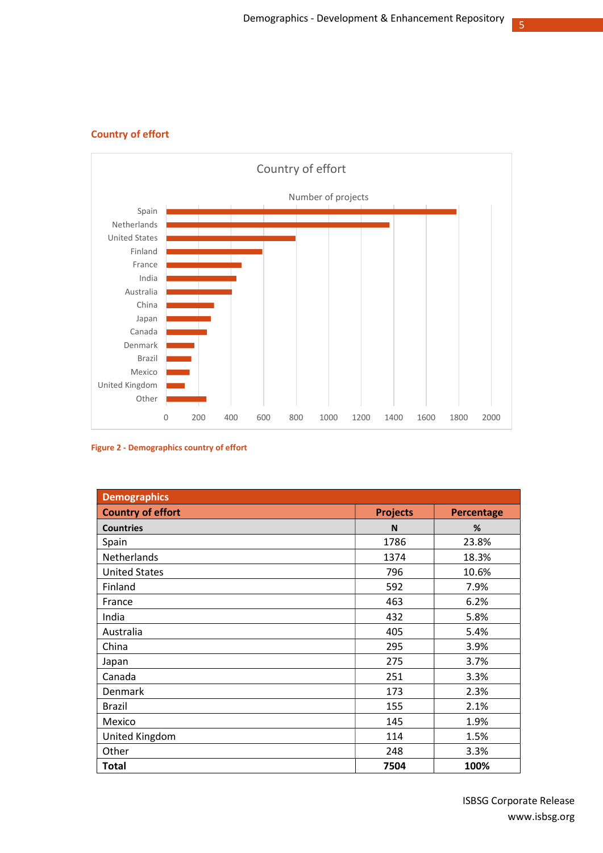

## Country of effort

Figure 2 - Demographics country of effort

| <b>Demographics</b>      |                 |                   |
|--------------------------|-----------------|-------------------|
| <b>Country of effort</b> | <b>Projects</b> | <b>Percentage</b> |
| <b>Countries</b>         | N               | %                 |
| Spain                    | 1786            | 23.8%             |
| Netherlands              | 1374            | 18.3%             |
| <b>United States</b>     | 796             | 10.6%             |
| Finland                  | 592             | 7.9%              |
| France                   | 463             | 6.2%              |
| India                    | 432             | 5.8%              |
| Australia                | 405             | 5.4%              |
| China                    | 295             | 3.9%              |
| Japan                    | 275             | 3.7%              |
| Canada                   | 251             | 3.3%              |
| Denmark                  | 173             | 2.3%              |
| <b>Brazil</b>            | 155             | 2.1%              |
| Mexico                   | 145             | 1.9%              |
| United Kingdom           | 114             | 1.5%              |
| Other                    | 248             | 3.3%              |
| <b>Total</b>             | 7504            | 100%              |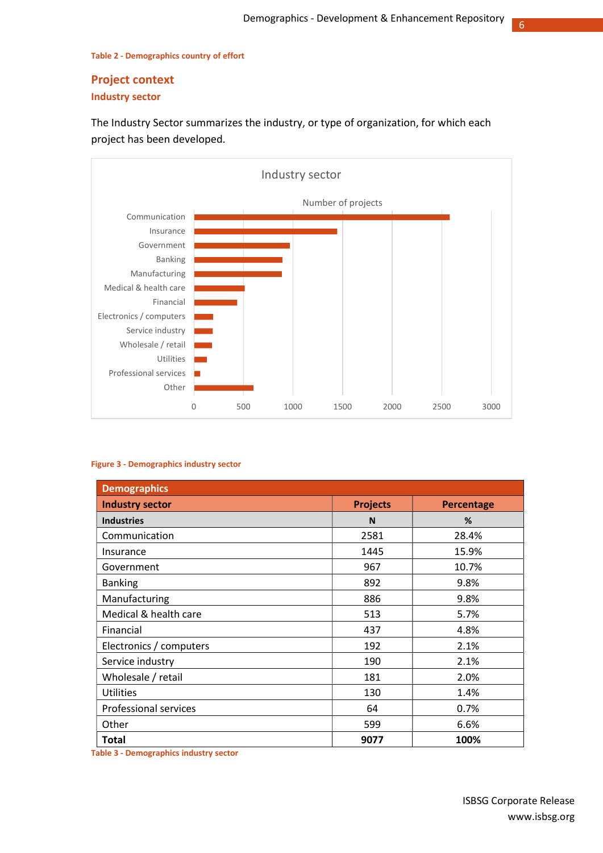6

#### Table 2 - Demographics country of effort

## Project context

## Industry sector

The Industry Sector summarizes the industry, or type of organization, for which each project has been developed.



#### Figure 3 - Demographics industry sector

| <b>Demographics</b>          |                 |                   |
|------------------------------|-----------------|-------------------|
| <b>Industry sector</b>       | <b>Projects</b> | <b>Percentage</b> |
| <b>Industries</b>            | N               | %                 |
| Communication                | 2581            | 28.4%             |
| Insurance                    | 1445            | 15.9%             |
| Government                   | 967             | 10.7%             |
| <b>Banking</b>               | 892             | 9.8%              |
| Manufacturing                | 886             | 9.8%              |
| Medical & health care        | 513             | 5.7%              |
| Financial                    | 437             | 4.8%              |
| Electronics / computers      | 192             | 2.1%              |
| Service industry             | 190             | 2.1%              |
| Wholesale / retail           | 181             | 2.0%              |
| <b>Utilities</b>             | 130             | 1.4%              |
| <b>Professional services</b> | 64              | 0.7%              |
| Other                        | 599             | 6.6%              |
| <b>Total</b>                 | 9077            | 100%              |

Table 3 - Demographics industry sector

ISBSG Corporate Release www.isbsg.org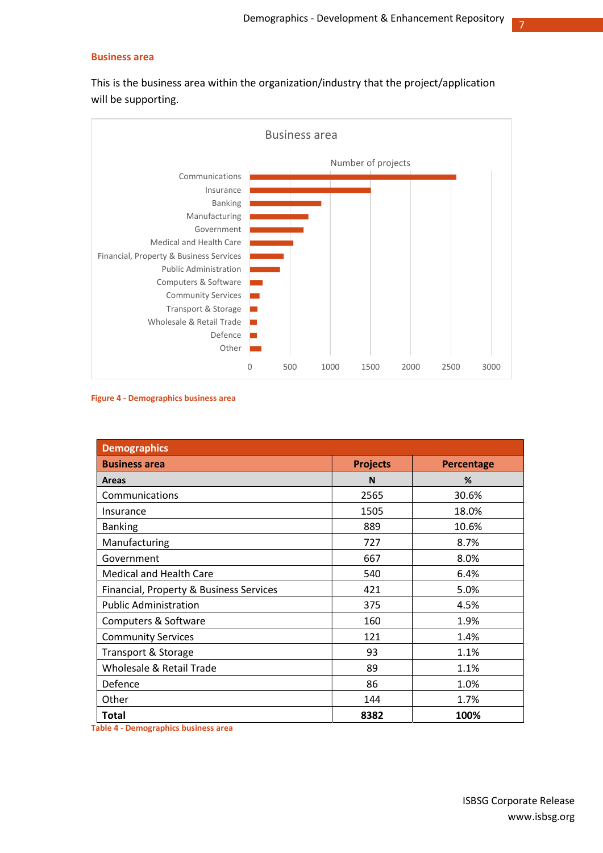#### Business area

This is the business area within the organization/industry that the project/application will be supporting.



Figure 4 - Demographics business area

| <b>Demographics</b>                     |                 |                   |
|-----------------------------------------|-----------------|-------------------|
| <b>Business area</b>                    | <b>Projects</b> | <b>Percentage</b> |
| <b>Areas</b>                            | N               | %                 |
| Communications                          | 2565            | 30.6%             |
| Insurance                               | 1505            | 18.0%             |
| <b>Banking</b>                          | 889             | 10.6%             |
| Manufacturing                           | 727             | 8.7%              |
| Government                              | 667             | 8.0%              |
| <b>Medical and Health Care</b>          | 540             | 6.4%              |
| Financial, Property & Business Services | 421             | 5.0%              |
| <b>Public Administration</b>            | 375             | 4.5%              |
| Computers & Software                    | 160             | 1.9%              |
| <b>Community Services</b>               | 121             | 1.4%              |
| Transport & Storage                     | 93              | 1.1%              |
| Wholesale & Retail Trade                | 89              | 1.1%              |
| Defence                                 | 86              | 1.0%              |
| Other                                   | 144             | 1.7%              |
| <b>Total</b>                            | 8382            | 100%              |

Table 4 - Demographics business area

7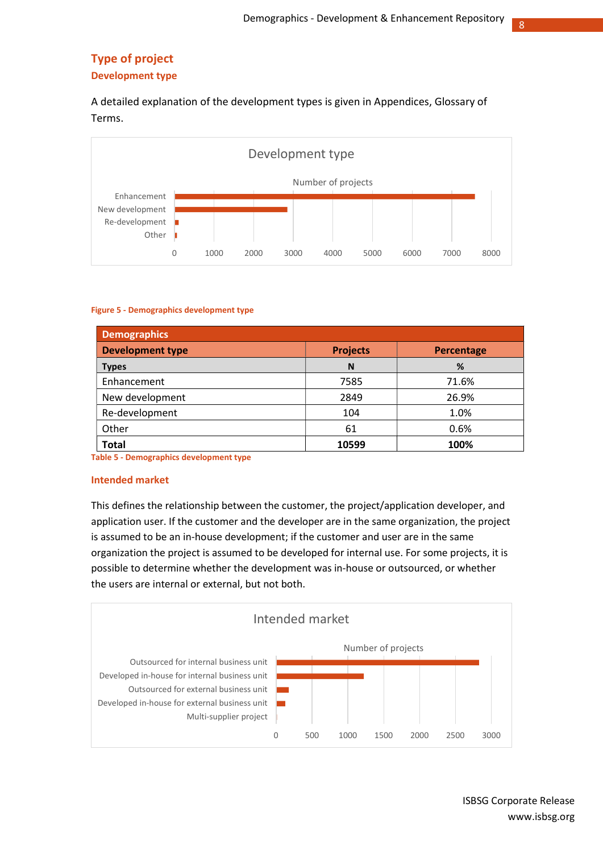8

## Type of project

#### Development type

A detailed explanation of the development types is given in Appendices, Glossary of Terms.



#### Figure 5 - Demographics development type

| <b>Demographics</b>     |                 |            |
|-------------------------|-----------------|------------|
| <b>Development type</b> | <b>Projects</b> | Percentage |
| <b>Types</b>            | N               | %          |
| Enhancement             | 7585            | 71.6%      |
| New development         | 2849            | 26.9%      |
| Re-development          | 104             | 1.0%       |
| Other                   | 61              | 0.6%       |
| <b>Total</b>            | 10599           | 100%       |

Table 5 - Demographics development type

#### Intended market

This defines the relationship between the customer, the project/application developer, and application user. If the customer and the developer are in the same organization, the project is assumed to be an in-house development; if the customer and user are in the same organization the project is assumed to be developed for internal use. For some projects, it is possible to determine whether the development was in-house or outsourced, or whether the users are internal or external, but not both.



ISBSG Corporate Release www.isbsg.org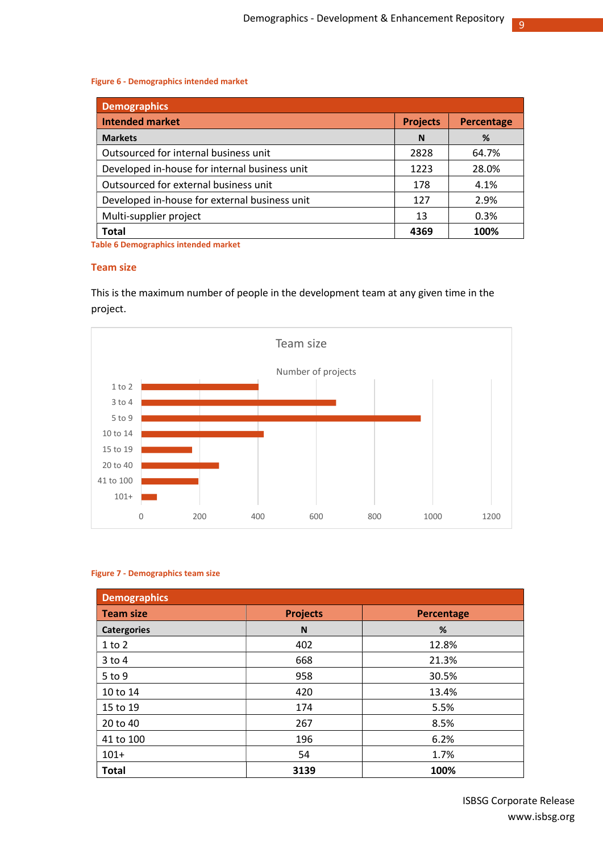9

#### Figure 6 - Demographics intended market

| <b>Demographics</b>                           |                 |            |
|-----------------------------------------------|-----------------|------------|
| <b>Intended market</b>                        | <b>Projects</b> | Percentage |
| <b>Markets</b>                                | N               | %          |
| Outsourced for internal business unit         | 2828            | 64.7%      |
| Developed in-house for internal business unit | 1223            | 28.0%      |
| Outsourced for external business unit         | 178             | 4.1%       |
| Developed in-house for external business unit | 127             | 2.9%       |
| Multi-supplier project                        | 13              | 0.3%       |
| <b>Total</b>                                  | 4369            | 100%       |

Table 6 Demographics intended market

#### Team size

This is the maximum number of people in the development team at any given time in the project.



#### Figure 7 - Demographics team size

| <b>Demographics</b> |                 |            |
|---------------------|-----------------|------------|
| <b>Team size</b>    | <b>Projects</b> | Percentage |
| <b>Catergories</b>  | N               | %          |
| $1$ to $2$          | 402             | 12.8%      |
| $3$ to 4            | 668             | 21.3%      |
| 5 to 9              | 958             | 30.5%      |
| 10 to 14            | 420             | 13.4%      |
| 15 to 19            | 174             | 5.5%       |
| 20 to 40            | 267             | 8.5%       |
| 41 to 100           | 196             | 6.2%       |
| $101+$              | 54              | 1.7%       |
| <b>Total</b>        | 3139            | 100%       |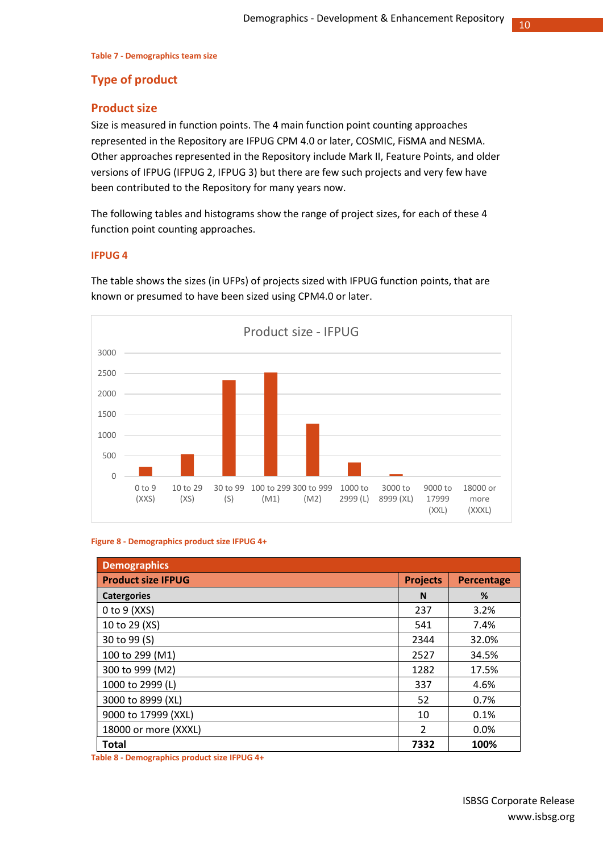#### Table 7 - Demographics team size

## Type of product

## Product size

Size is measured in function points. The 4 main function point counting approaches represented in the Repository are IFPUG CPM 4.0 or later, COSMIC, FiSMA and NESMA. Other approaches represented in the Repository include Mark II, Feature Points, and older versions of IFPUG (IFPUG 2, IFPUG 3) but there are few such projects and very few have been contributed to the Repository for many years now.

The following tables and histograms show the range of project sizes, for each of these 4 function point counting approaches.

#### IFPUG 4

The table shows the sizes (in UFPs) of projects sized with IFPUG function points, that are known or presumed to have been sized using CPM4.0 or later.



#### Figure 8 - Demographics product size IFPUG 4+

| <b>Demographics</b>       |                 |            |
|---------------------------|-----------------|------------|
| <b>Product size IFPUG</b> | <b>Projects</b> | Percentage |
| <b>Catergories</b>        | N               | %          |
| $0$ to $9$ (XXS)          | 237             | 3.2%       |
| 10 to 29 (XS)             | 541             | 7.4%       |
| 30 to 99 (S)              | 2344            | 32.0%      |
| 100 to 299 (M1)           | 2527            | 34.5%      |
| 300 to 999 (M2)           | 1282            | 17.5%      |
| 1000 to 2999 (L)          | 337             | 4.6%       |
| 3000 to 8999 (XL)         | 52              | 0.7%       |
| 9000 to 17999 (XXL)       | 10              | 0.1%       |
| 18000 or more (XXXL)      | $\mathcal{P}$   | 0.0%       |
| Total                     | 7332            | 100%       |

Table 8 - Demographics product size IFPUG 4+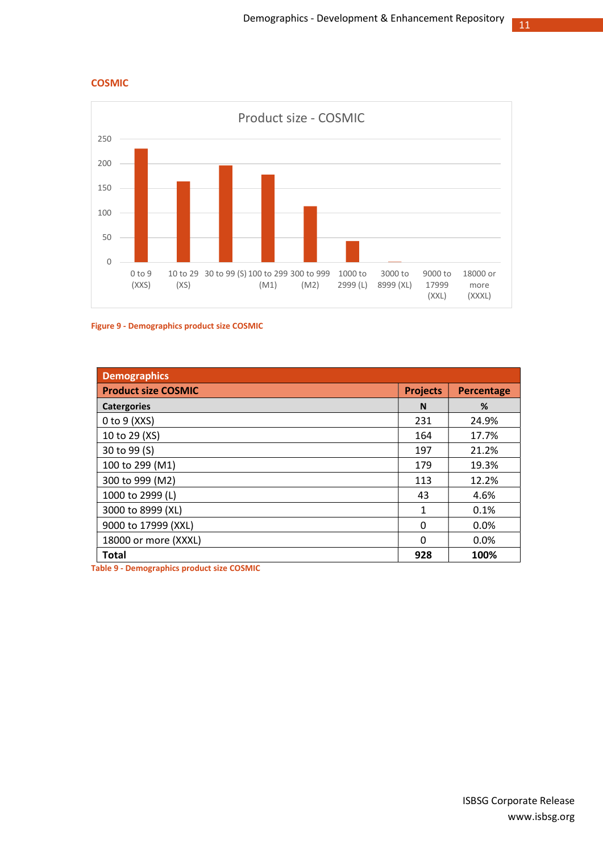





| <b>Demographics</b>        |                 |            |
|----------------------------|-----------------|------------|
| <b>Product size COSMIC</b> | <b>Projects</b> | Percentage |
| <b>Catergories</b>         | N               | %          |
| $0$ to $9$ (XXS)           | 231             | 24.9%      |
| 10 to 29 (XS)              | 164             | 17.7%      |
| 30 to 99 (S)               | 197             | 21.2%      |
| 100 to 299 (M1)            | 179             | 19.3%      |
| 300 to 999 (M2)            | 113             | 12.2%      |
| 1000 to 2999 (L)           | 43              | 4.6%       |
| 3000 to 8999 (XL)          | $\mathbf{1}$    | 0.1%       |
| 9000 to 17999 (XXL)        | $\Omega$        | $0.0\%$    |
| 18000 or more (XXXL)       | $\Omega$        | 0.0%       |
| <b>Total</b>               | 928             | 100%       |

Table 9 - Demographics product size COSMIC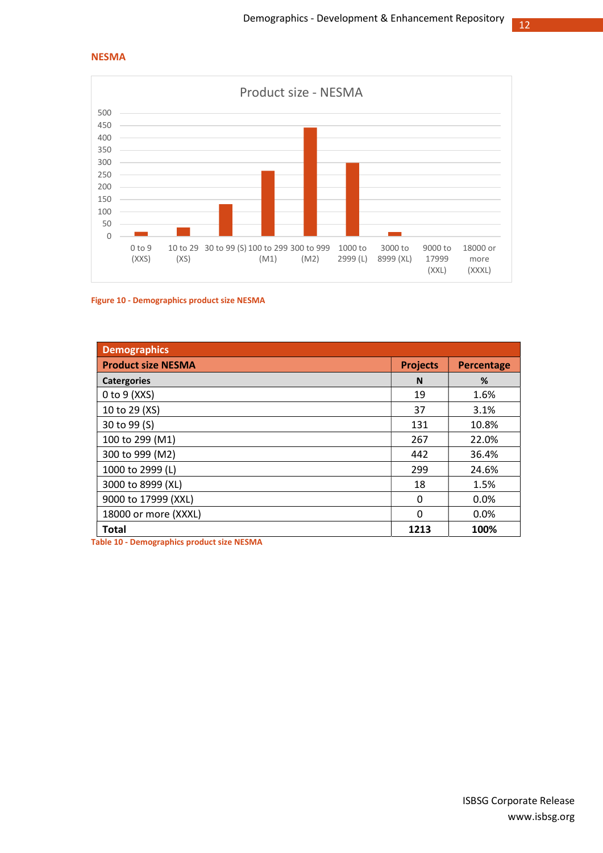#### NESMA



#### Figure 10 - Demographics product size NESMA

| <b>Demographics</b>       |                 |            |
|---------------------------|-----------------|------------|
| <b>Product size NESMA</b> | <b>Projects</b> | Percentage |
| <b>Catergories</b>        | N               | %          |
| $0$ to $9$ (XXS)          | 19              | 1.6%       |
| 10 to 29 (XS)             | 37              | 3.1%       |
| 30 to 99 (S)              | 131             | 10.8%      |
| 100 to 299 (M1)           | 267             | 22.0%      |
| 300 to 999 (M2)           | 442             | 36.4%      |
| 1000 to 2999 (L)          | 299             | 24.6%      |
| 3000 to 8999 (XL)         | 18              | 1.5%       |
| 9000 to 17999 (XXL)       | 0               | $0.0\%$    |
| 18000 or more (XXXL)      | $\Omega$        | 0.0%       |
| Total                     | 1213            | 100%       |

Table 10 - Demographics product size NESMA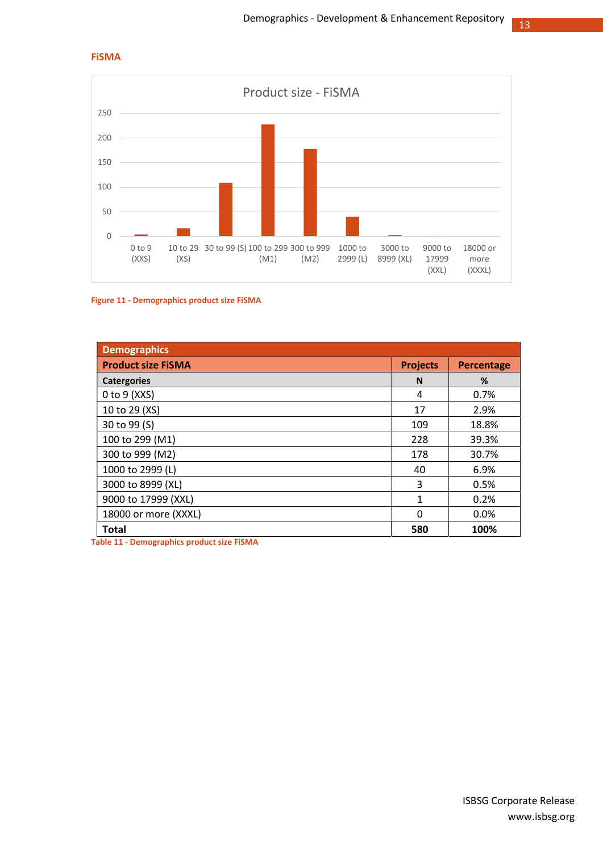

#### FiSMA

#### Figure 11 - Demographics product size FiSMA

| <b>Demographics</b>       |                 |                   |
|---------------------------|-----------------|-------------------|
| <b>Product size FISMA</b> | <b>Projects</b> | <b>Percentage</b> |
| <b>Catergories</b>        | N               | %                 |
| $0$ to $9$ (XXS)          | 4               | 0.7%              |
| 10 to 29 (XS)             | 17              | 2.9%              |
| 30 to 99 (S)              | 109             | 18.8%             |
| 100 to 299 (M1)           | 228             | 39.3%             |
| 300 to 999 (M2)           | 178             | 30.7%             |
| 1000 to 2999 (L)          | 40              | 6.9%              |
| 3000 to 8999 (XL)         | 3               | 0.5%              |
| 9000 to 17999 (XXL)       | 1               | 0.2%              |
| 18000 or more (XXXL)      | $\Omega$        | 0.0%              |
| <b>Total</b>              | 580             | 100%              |

Table 11 - Demographics product size FiSMA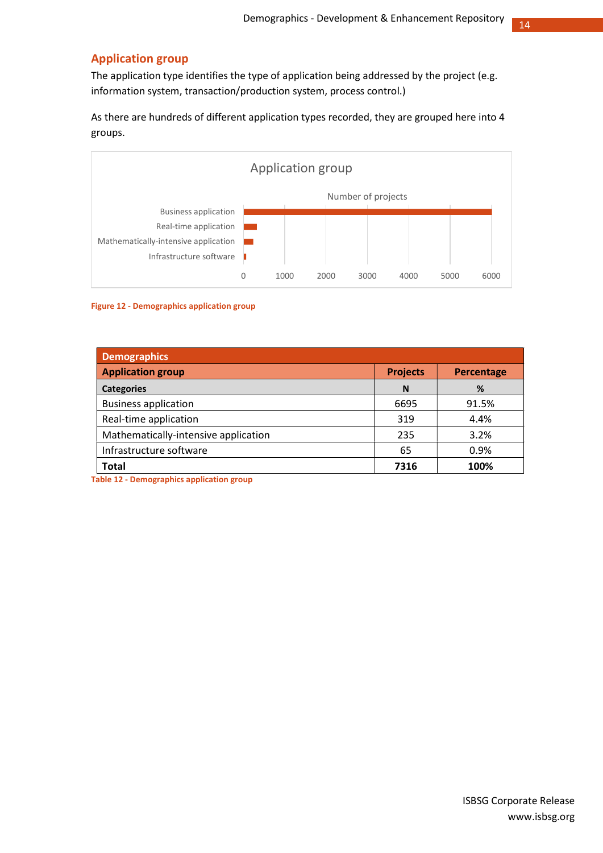## Application group

The application type identifies the type of application being addressed by the project (e.g. information system, transaction/production system, process control.)

As there are hundreds of different application types recorded, they are grouped here into 4 groups.



#### Figure 12 - Demographics application group

| Demographics <sup>1</sup>            |                 |                   |  |
|--------------------------------------|-----------------|-------------------|--|
| <b>Application group</b>             | <b>Projects</b> | <b>Percentage</b> |  |
| <b>Categories</b>                    | N               | %                 |  |
| <b>Business application</b>          | 6695            | 91.5%             |  |
| Real-time application                | 319             | 4.4%              |  |
| Mathematically-intensive application | 235             | 3.2%              |  |
| Infrastructure software              | 65              | 0.9%              |  |
| <b>Total</b>                         | 7316            | 100%              |  |

Table 12 - Demographics application group

www.isbsg.org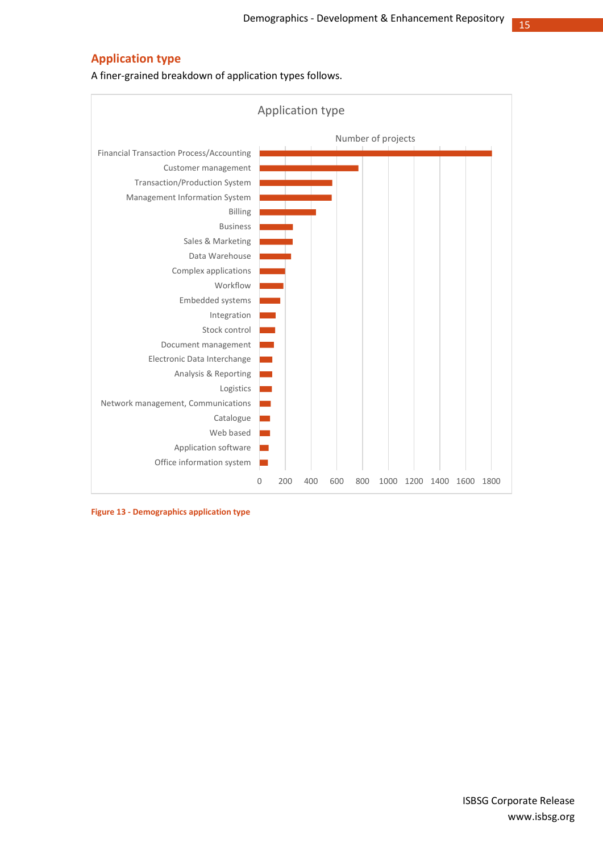## Application type

A finer-grained breakdown of application types follows.



Figure 13 - Demographics application type

www.isbsg.org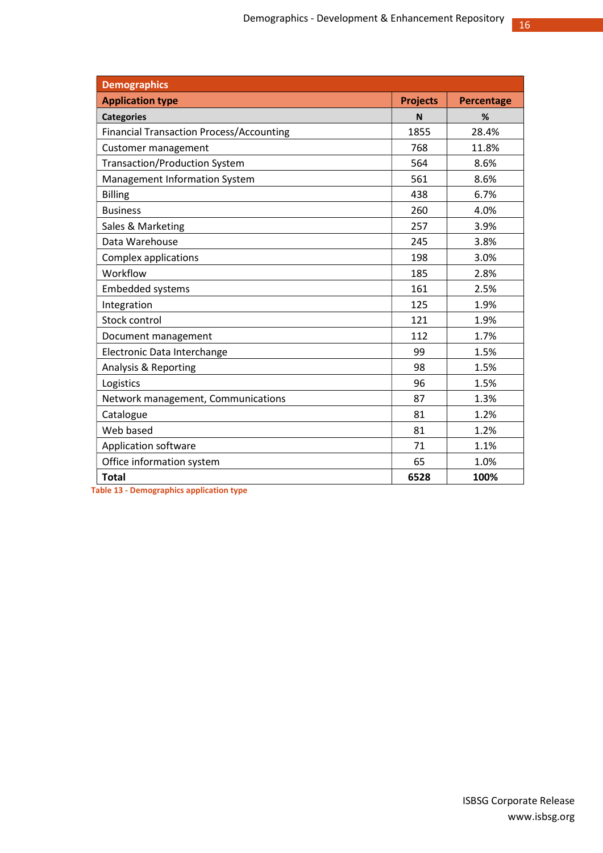| <b>Demographics</b>                             |                 |            |
|-------------------------------------------------|-----------------|------------|
| <b>Application type</b>                         | <b>Projects</b> | Percentage |
| <b>Categories</b>                               | N               | %          |
| <b>Financial Transaction Process/Accounting</b> | 1855            | 28.4%      |
| Customer management                             | 768             | 11.8%      |
| <b>Transaction/Production System</b>            | 564             | 8.6%       |
| Management Information System                   | 561             | 8.6%       |
| <b>Billing</b>                                  | 438             | 6.7%       |
| <b>Business</b>                                 | 260             | 4.0%       |
| Sales & Marketing                               | 257             | 3.9%       |
| Data Warehouse                                  | 245             | 3.8%       |
| Complex applications                            | 198             | 3.0%       |
| Workflow                                        | 185             | 2.8%       |
| <b>Embedded systems</b>                         | 161             | 2.5%       |
| Integration                                     | 125             | 1.9%       |
| Stock control                                   | 121             | 1.9%       |
| Document management                             | 112             | 1.7%       |
| Electronic Data Interchange                     | 99              | 1.5%       |
| Analysis & Reporting                            | 98              | 1.5%       |
| Logistics                                       | 96              | 1.5%       |
| Network management, Communications              | 87              | 1.3%       |
| Catalogue                                       | 81              | 1.2%       |
| Web based                                       | 81              | 1.2%       |
| Application software                            | 71              | 1.1%       |
| Office information system                       | 65              | 1.0%       |
| <b>Total</b>                                    | 6528            | 100%       |

Table 13 - Demographics application type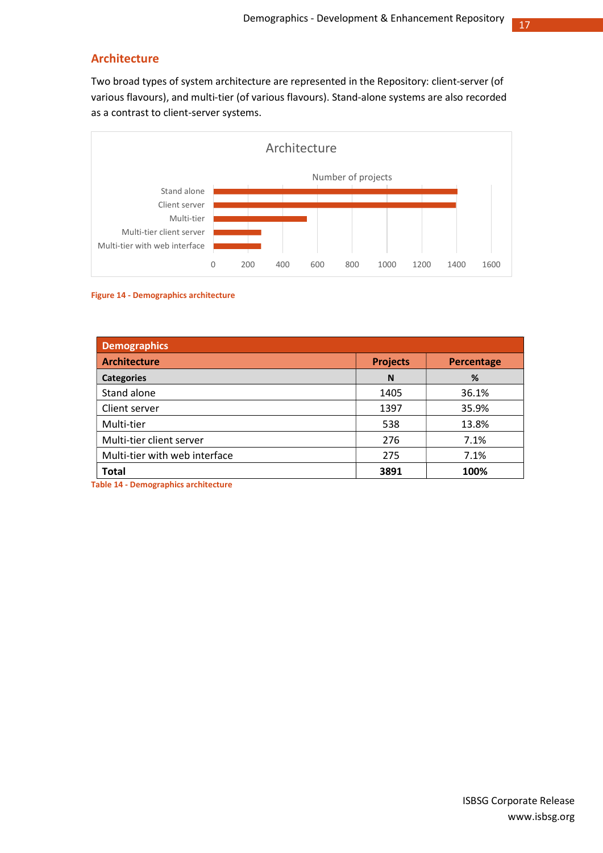## Architecture

Two broad types of system architecture are represented in the Repository: client-server (of various flavours), and multi-tier (of various flavours). Stand-alone systems are also recorded as a contrast to client-server systems.



#### Figure 14 - Demographics architecture

| <b>Demographics</b>           |                 |            |  |
|-------------------------------|-----------------|------------|--|
| <b>Architecture</b>           | <b>Projects</b> | Percentage |  |
| <b>Categories</b>             | N               | %          |  |
| Stand alone                   | 1405            | 36.1%      |  |
| Client server                 | 1397            | 35.9%      |  |
| Multi-tier                    | 538             | 13.8%      |  |
| Multi-tier client server      | 276             | 7.1%       |  |
| Multi-tier with web interface | 275             | 7.1%       |  |
| <b>Total</b>                  | 3891            | 100%       |  |

Table 14 - Demographics architecture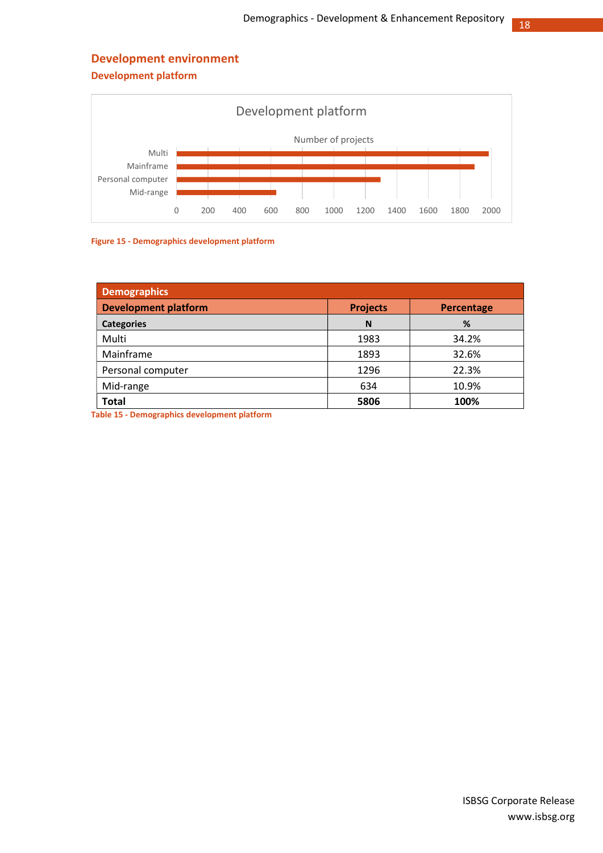## Development environment

Development platform





| <b>Demographics</b>         |                 |            |
|-----------------------------|-----------------|------------|
| <b>Development platform</b> | <b>Projects</b> | Percentage |
| <b>Categories</b>           | N               | %          |
| Multi                       | 1983            | 34.2%      |
| Mainframe                   | 1893            | 32.6%      |
| Personal computer           | 1296            | 22.3%      |
| Mid-range                   | 634             | 10.9%      |
| <b>Total</b>                | 5806            | 100%       |

Table 15 - Demographics development platform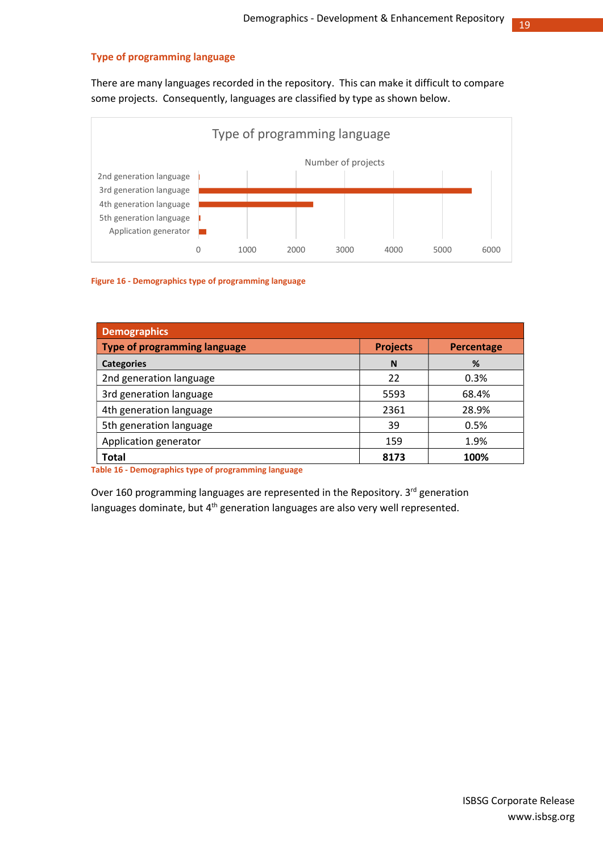#### Type of programming language

There are many languages recorded in the repository. This can make it difficult to compare some projects. Consequently, languages are classified by type as shown below.



Figure 16 - Demographics type of programming language

| <b>Demographics</b>                 |                 |                   |
|-------------------------------------|-----------------|-------------------|
| <b>Type of programming language</b> | <b>Projects</b> | <b>Percentage</b> |
| <b>Categories</b>                   | N               | %                 |
| 2nd generation language             | 22              | 0.3%              |
| 3rd generation language             | 5593            | 68.4%             |
| 4th generation language             | 2361            | 28.9%             |
| 5th generation language             | 39              | 0.5%              |
| Application generator               | 159             | 1.9%              |
| <b>Total</b>                        | 8173            | 100%              |

Table 16 - Demographics type of programming language

Over 160 programming languages are represented in the Repository. 3<sup>rd</sup> generation languages dominate, but 4<sup>th</sup> generation languages are also very well represented.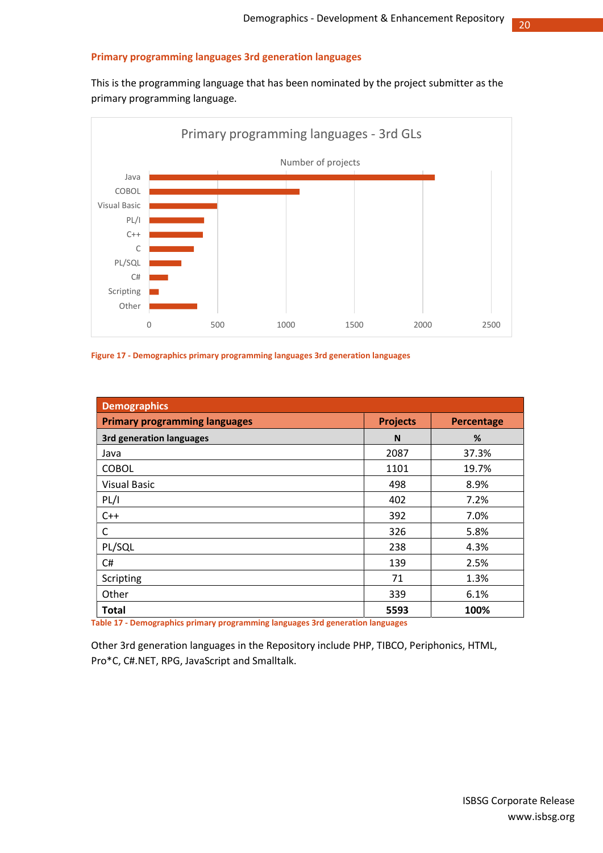#### Primary programming languages 3rd generation languages

This is the programming language that has been nominated by the project submitter as the primary programming language.



#### Figure 17 - Demographics primary programming languages 3rd generation languages

| <b>Demographics</b>                  |                 |            |
|--------------------------------------|-----------------|------------|
| <b>Primary programming languages</b> | <b>Projects</b> | Percentage |
| <b>3rd generation languages</b>      | N               | %          |
| Java                                 | 2087            | 37.3%      |
| <b>COBOL</b>                         | 1101            | 19.7%      |
| <b>Visual Basic</b>                  | 498             | 8.9%       |
| PL/I                                 | 402             | 7.2%       |
| $C++$                                | 392             | 7.0%       |
| C                                    | 326             | 5.8%       |
| PL/SQL                               | 238             | 4.3%       |
| C#                                   | 139             | 2.5%       |
| Scripting                            | 71              | 1.3%       |
| Other                                | 339             | 6.1%       |
| <b>Total</b>                         | 5593            | 100%       |

Table 17 - Demographics primary programming languages 3rd generation languages

Other 3rd generation languages in the Repository include PHP, TIBCO, Periphonics, HTML, Pro\*C, C#.NET, RPG, JavaScript and Smalltalk.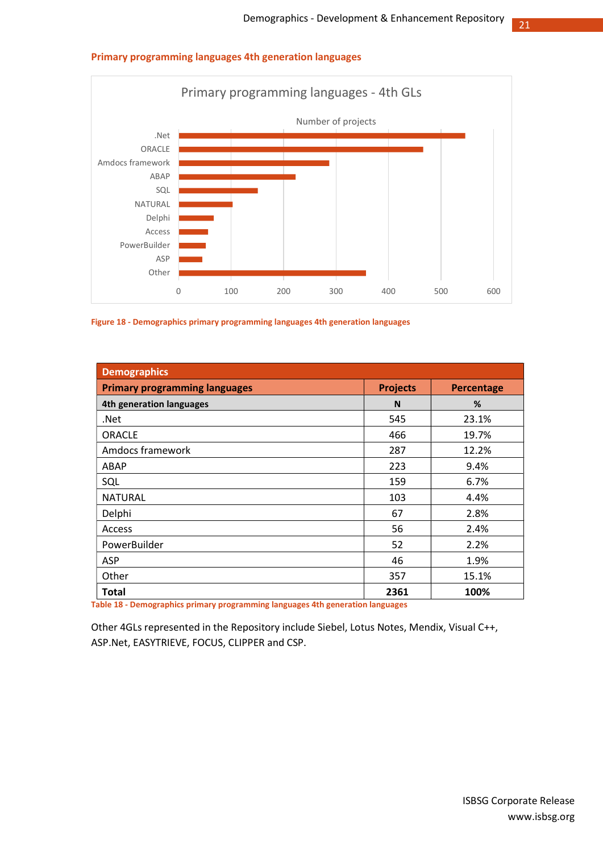# or any programming languages - 4th GLs<br>
Number of projects<br>
Number of projects<br>
Number of projects<br>
Number of projects<br>
Number of projects<br>
Number of projects<br>
Number of projects<br>
Number of projects<br>
Number of projects<br>
Nu .Net ORACLE Amdocs framework ABAP **Demokratischer Aber aus der Eine** SQL **Extending the SQL** NATURAL Delphi Access PowerBuilder ASP **The Contract of the Contract of Security** Other Number of projects Primary programming languages - 4th GLs<br>
Number of projects<br>
Primary programming languages - 4th GLs<br>
Number of projects

#### Primary programming languages 4th generation languages

Figure 18 - Demographics primary programming languages 4th generation languages

| <b>Demographics</b>                  |                 |            |
|--------------------------------------|-----------------|------------|
| <b>Primary programming languages</b> | <b>Projects</b> | Percentage |
| 4th generation languages             | N               | %          |
| .Net                                 | 545             | 23.1%      |
| <b>ORACLE</b>                        | 466             | 19.7%      |
| Amdocs framework                     | 287             | 12.2%      |
| ABAP                                 | 223             | 9.4%       |
| SQL                                  | 159             | 6.7%       |
| <b>NATURAL</b>                       | 103             | 4.4%       |
| Delphi                               | 67              | 2.8%       |
| Access                               | 56              | 2.4%       |
| PowerBuilder                         | 52              | 2.2%       |
| <b>ASP</b>                           | 46              | 1.9%       |
| Other                                | 357             | 15.1%      |
| Total                                | 2361            | 100%       |

Table 18 - Demographics primary programming languages 4th generation languages

Other 4GLs represented in the Repository include Siebel, Lotus Notes, Mendix, Visual C++, ASP.Net, EASYTRIEVE, FOCUS, CLIPPER and CSP.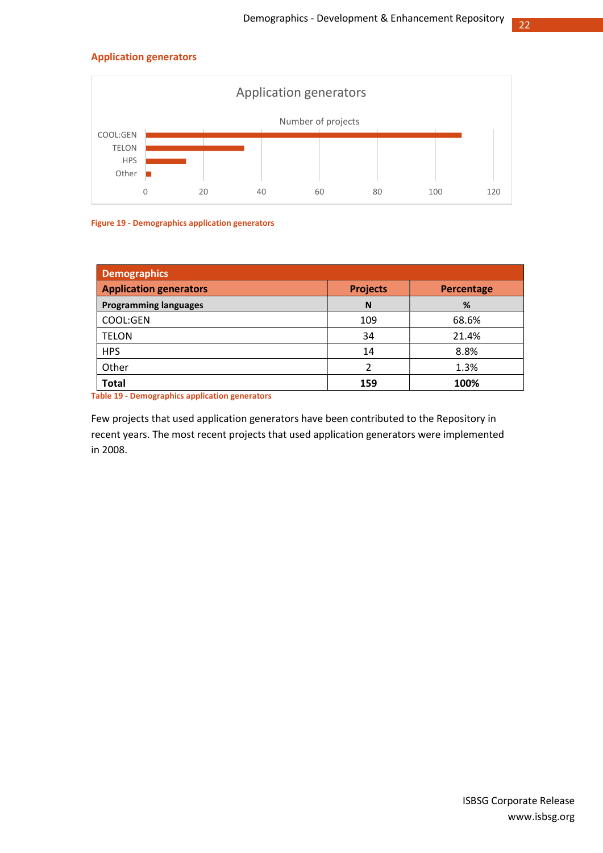#### Application generators



#### Figure 19 - Demographics application generators

| Demographics                  |                 |            |  |
|-------------------------------|-----------------|------------|--|
| <b>Application generators</b> | <b>Projects</b> | Percentage |  |
| <b>Programming languages</b>  | N               | %          |  |
| COOL:GEN                      | 109             | 68.6%      |  |
| <b>TELON</b>                  | 34              | 21.4%      |  |
| <b>HPS</b>                    | 14              | 8.8%       |  |
| Other                         | າ               | 1.3%       |  |
| <b>Total</b>                  | 159             | 100%       |  |

Table 19 - Demographics application generators

Few projects that used application generators have been contributed to the Repository in recent years. The most recent projects that used application generators were implemented in 2008.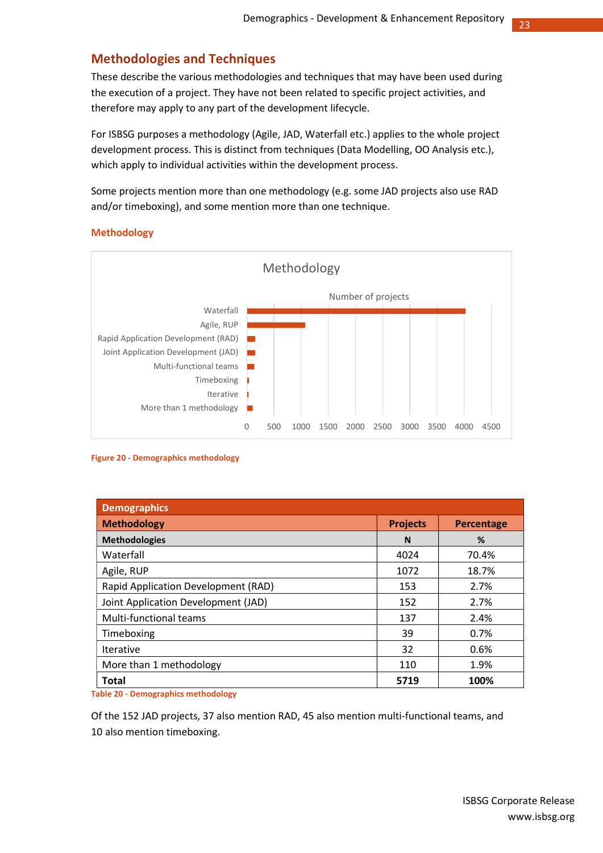## Methodologies and Techniques

These describe the various methodologies and techniques that may have been used during the execution of a project. They have not been related to specific project activities, and therefore may apply to any part of the development lifecycle.

For ISBSG purposes a methodology (Agile, JAD, Waterfall etc.) applies to the whole project development process. This is distinct from techniques (Data Modelling, OO Analysis etc.), which apply to individual activities within the development process.

Some projects mention more than one methodology (e.g. some JAD projects also use RAD and/or timeboxing), and some mention more than one technique.

#### Methodology



#### Figure 20 - Demographics methodology

| <b>Demographics</b>                 |                 |                   |
|-------------------------------------|-----------------|-------------------|
| <b>Methodology</b>                  | <b>Projects</b> | <b>Percentage</b> |
| <b>Methodologies</b>                | N               | %                 |
| Waterfall                           | 4024            | 70.4%             |
| Agile, RUP                          | 1072            | 18.7%             |
| Rapid Application Development (RAD) | 153             | 2.7%              |
| Joint Application Development (JAD) | 152             | 2.7%              |
| Multi-functional teams              | 137             | 2.4%              |
| Timeboxing                          | 39              | 0.7%              |
| <b>Iterative</b>                    | 32              | 0.6%              |
| More than 1 methodology             | 110             | 1.9%              |
| <b>Total</b>                        | 5719            | 100%              |

Table 20 - Demographics methodology

Of the 152 JAD projects, 37 also mention RAD, 45 also mention multi-functional teams, and 10 also mention timeboxing.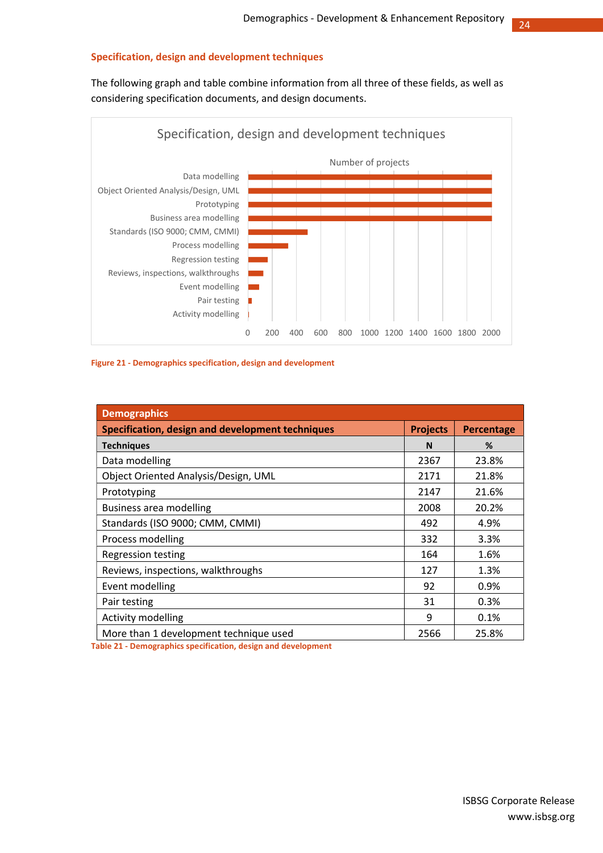#### Specification, design and development techniques

The following graph and table combine information from all three of these fields, as well as considering specification documents, and design documents.



Figure 21 - Demographics specification, design and development

| <b>Demographics</b>                              |                 |                   |
|--------------------------------------------------|-----------------|-------------------|
| Specification, design and development techniques | <b>Projects</b> | <b>Percentage</b> |
| <b>Techniques</b>                                | N               | %                 |
| Data modelling                                   | 2367            | 23.8%             |
| Object Oriented Analysis/Design, UML             | 2171            | 21.8%             |
| Prototyping                                      | 2147            | 21.6%             |
| Business area modelling                          | 2008            | 20.2%             |
| Standards (ISO 9000; CMM, CMMI)                  | 492             | 4.9%              |
| Process modelling                                | 332             | 3.3%              |
| <b>Regression testing</b>                        | 164             | 1.6%              |
| Reviews, inspections, walkthroughs               | 127             | 1.3%              |
| Event modelling                                  | 92              | 0.9%              |
| Pair testing                                     | 31              | 0.3%              |
| <b>Activity modelling</b>                        | 9               | 0.1%              |
| More than 1 development technique used           | 2566            | 25.8%             |

Table 21 - Demographics specification, design and development